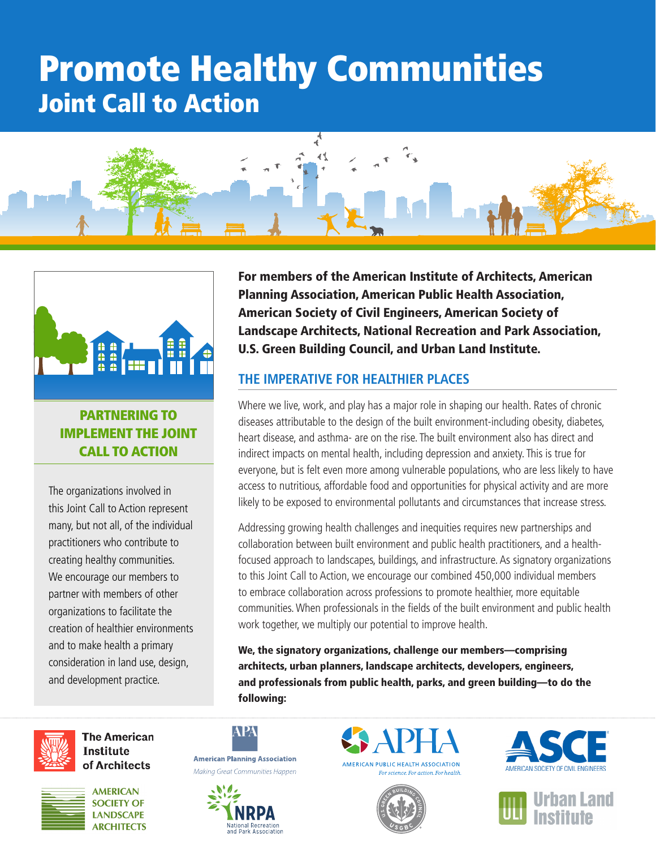# Promote Healthy Communities Joint Call to Action





# PARTNERING TO IMPLEMENT THE JOINT CALL TO ACTION

The organizations involved in this Joint Call to Action represent many, but not all, of the individual practitioners who contribute to creating healthy communities. We encourage our members to partner with members of other organizations to facilitate the creation of healthier environments and to make health a primary consideration in land use, design, and development practice.



**The American Institute** of Architects



**AMERICAN SOCIETY OF LANDSCAPE ARCHITECTS**  For members of the American Institute of Architects, American Planning Association, American Public Health Association, American Society of Civil Engineers, American Society of Landscape Architects, National Recreation and Park Association, U.S. Green Building Council, and Urban Land Institute.

# **THE IMPERATIVE FOR HEALTHIER PLACES**

Where we live, work, and play has a major role in shaping our health. Rates of chronic diseases attributable to the design of the built environment-including obesity, diabetes, heart disease, and asthma- are on the rise. The built environment also has direct and indirect impacts on mental health, including depression and anxiety. This is true for everyone, but is felt even more among vulnerable populations, who are less likely to have access to nutritious, affordable food and opportunities for physical activity and are more likely to be exposed to environmental pollutants and circumstances that increase stress.

Addressing growing health challenges and inequities requires new partnerships and collaboration between built environment and public health practitioners, and a healthfocused approach to landscapes, buildings, and infrastructure. As signatory organizations to this Joint Call to Action, we encourage our combined 450,000 individual members to embrace collaboration across professions to promote healthier, more equitable communities. When professionals in the fields of the built environment and public health work together, we multiply our potential to improve health.

We, the signatory organizations, challenge our members—comprising architects, urban planners, landscape architects, developers, engineers, and professionals from public health, parks, and green building—to do the following: